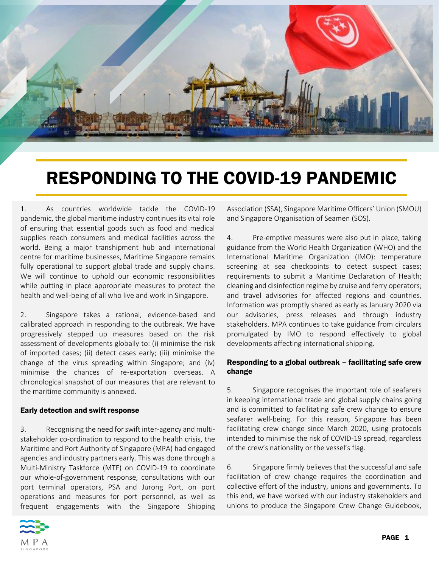

# RESPONDING TO THE COVID-19 PANDEMIC

1. As countries worldwide tackle the COVID-19 pandemic, the global maritime industry continues its vital role of ensuring that essential goods such as food and medical supplies reach consumers and medical facilities across the world. Being a major transhipment hub and international centre for maritime businesses, Maritime Singapore remains fully operational to support global trade and supply chains. We will continue to uphold our economic responsibilities while putting in place appropriate measures to protect the health and well-being of all who live and work in Singapore.

2. Singapore takes a rational, evidence-based and calibrated approach in responding to the outbreak. We have progressively stepped up measures based on the risk assessment of developments globally to: (i) minimise the risk of imported cases; (ii) detect cases early; (iii) minimise the change of the virus spreading within Singapore; and (iv) minimise the chances of re-exportation overseas. A chronological snapshot of our measures that are relevant to the maritime community is annexed.

### Early detection and swift response

3. Recognising the need for swift inter-agency and multistakeholder co-ordination to respond to the health crisis, the Maritime and Port Authority of Singapore (MPA) had engaged agencies and industry partners early. This was done through a Multi-Ministry Taskforce (MTF) on COVID-19 to coordinate our whole-of-government response, consultations with our port terminal operators, PSA and Jurong Port, on port operations and measures for port personnel, as well as frequent engagements with the Singapore Shipping



Association (SSA), Singapore Maritime Officers' Union (SMOU) and Singapore Organisation of Seamen (SOS).

4. Pre-emptive measures were also put in place, taking guidance from the World Health Organization (WHO) and the International Maritime Organization (IMO): temperature screening at sea checkpoints to detect suspect cases; requirements to submit a Maritime Declaration of Health; cleaning and disinfection regime by cruise and ferry operators; and travel advisories for affected regions and countries. Information was promptly shared as early as January 2020 via our advisories, press releases and through industry stakeholders. MPA continues to take guidance from circulars promulgated by IMO to respond effectively to global developments affecting international shipping.

### Responding to a global outbreak – facilitating safe crew change

5. Singapore recognises the important role of seafarers in keeping international trade and global supply chains going and is committed to facilitating safe crew change to ensure seafarer well-being. For this reason, Singapore has been facilitating crew change since March 2020, using protocols intended to minimise the risk of COVID-19 spread, regardless of the crew's nationality or the vessel's flag.

6. Singapore firmly believes that the successful and safe facilitation of crew change requires the coordination and collective effort of the industry, unions and governments. To this end, we have worked with our industry stakeholders and unions to produce the Singapore Crew Change Guidebook,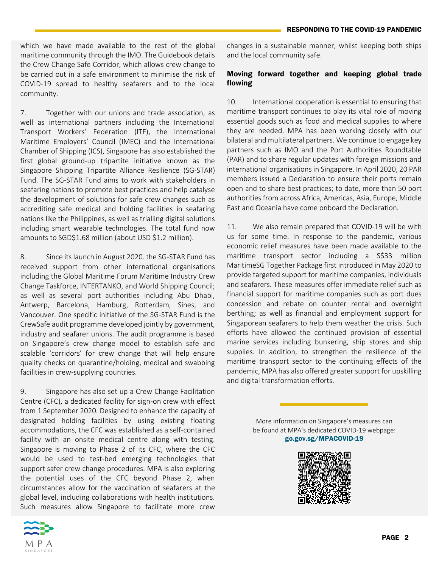which we have made available to the rest of the global maritime community through the IMO. The Guidebook details the Crew Change Safe Corridor, which allows crew change to be carried out in a safe environment to minimise the risk of COVID-19 spread to healthy seafarers and to the local community.

7. Together with our unions and trade association, as well as international partners including the International Transport Workers' Federation (ITF), the International Maritime Employers' Council (IMEC) and the International Chamber of Shipping (ICS), Singapore has also established the first global ground-up tripartite initiative known as the Singapore Shipping Tripartite Alliance Resilience (SG-STAR) Fund. The SG-STAR Fund aims to work with stakeholders in seafaring nations to promote best practices and help catalyse the development of solutions for safe crew changes such as accrediting safe medical and holding facilities in seafaring nations like the Philippines, as well as trialling digital solutions including smart wearable technologies. The total fund now amounts to SGD\$1.68 million (about USD \$1.2 million).

8. Since its launch in August 2020. the SG-STAR Fund has received support from other international organisations including the Global Maritime Forum Maritime Industry Crew Change Taskforce, INTERTANKO, and World Shipping Council; as well as several port authorities including Abu Dhabi, Antwerp, Barcelona, Hamburg, Rotterdam, Sines, and Vancouver. One specific initiative of the SG-STAR Fund is the CrewSafe audit programme developed jointly by government, industry and seafarer unions. The audit programme is based on Singapore's crew change model to establish safe and scalable 'corridors' for crew change that will help ensure quality checks on quarantine/holding, medical and swabbing facilities in crew-supplying countries.

9. Singapore has also set up a Crew Change Facilitation Centre (CFC), a dedicated facility for sign-on crew with effect from 1 September 2020. Designed to enhance the capacity of designated holding facilities by using existing floating accommodations, the CFC was established as a self-contained facility with an onsite medical centre along with testing. Singapore is moving to Phase 2 of its CFC, where the CFC would be used to test-bed emerging technologies that support safer crew change procedures. MPA is also exploring the potential uses of the CFC beyond Phase 2, when circumstances allow for the vaccination of seafarers at the global level, including collaborations with health institutions. Such measures allow Singapore to facilitate more crew



changes in a sustainable manner, whilst keeping both ships and the local community safe.

### Moving forward together and keeping global trade flowing

10. International cooperation is essential to ensuring that maritime transport continues to play its vital role of moving essential goods such as food and medical supplies to where they are needed. MPA has been working closely with our bilateral and multilateral partners. We continue to engage key partners such as IMO and the Port Authorities Roundtable (PAR) and to share regular updates with foreign missions and international organisations in Singapore. In April 2020, 20 PAR members issued a Declaration to ensure their ports remain open and to share best practices; to date, more than 50 port authorities from across Africa, Americas, Asia, Europe, Middle East and Oceania have come onboard the Declaration.

11. We also remain prepared that COVID-19 will be with us for some time. In response to the pandemic, various economic relief measures have been made available to the maritime transport sector including a S\$33 million MaritimeSG Together Package first introduced in May 2020 to provide targeted support for maritime companies, individuals and seafarers. These measures offer immediate relief such as financial support for maritime companies such as port dues concession and rebate on counter rental and overnight berthing; as well as financial and employment support for Singaporean seafarers to help them weather the crisis. Such efforts have allowed the continued provision of essential marine services including bunkering, ship stores and ship supplies. In addition, to strengthen the resilience of the maritime transport sector to the continuing effects of the pandemic, MPA has also offered greater support for upskilling and digital transformation efforts.

> More information on Singapore's measures can be found at MPA's dedicated COVID-19 webpage: go.gov.sg/MPACOVID-19

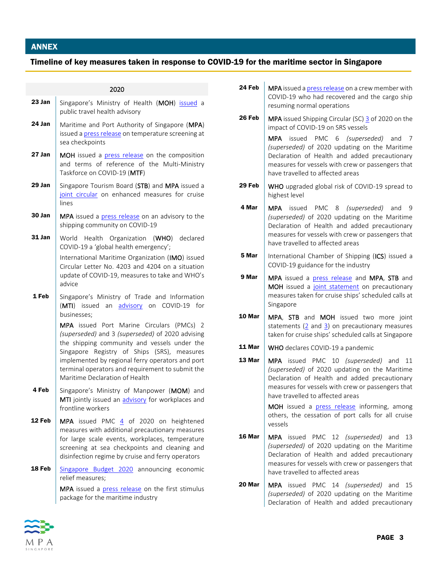## ANNEX

# Timeline of key measures taken in response to COVID-19 for the maritime sector in Singapore

#### 2020

| 23 Jan | Singapore's Ministry of Health (MOH) issued a<br>public travel health advisory                                                                                                                                                                                                                                                                                                                                                                     |
|--------|----------------------------------------------------------------------------------------------------------------------------------------------------------------------------------------------------------------------------------------------------------------------------------------------------------------------------------------------------------------------------------------------------------------------------------------------------|
| 24 Jan | Maritime and Port Authority of Singapore (MPA)<br>issued a press release on temperature screening at<br>sea checkpoints                                                                                                                                                                                                                                                                                                                            |
| 27 Jan | MOH issued a press release on the composition<br>and terms of reference of the Multi-Ministry<br>Taskforce on COVID-19 (MTF)                                                                                                                                                                                                                                                                                                                       |
| 29 Jan | Singapore Tourism Board (STB) and MPA issued a<br>joint circular on enhanced measures for cruise<br>lines                                                                                                                                                                                                                                                                                                                                          |
| 30 Jan | MPA issued a press release on an advisory to the<br>shipping community on COVID-19                                                                                                                                                                                                                                                                                                                                                                 |
| 31 Jan | World<br>Health Organization (WHO) declared<br>COVID-19 a 'global health emergency';<br>International Maritime Organization (IMO) issued<br>Circular Letter No. 4203 and 4204 on a situation<br>update of COVID-19, measures to take and WHO's<br>advice                                                                                                                                                                                           |
| 1 Feb  | Singapore's Ministry of Trade and Information<br>(MTI) issued an advisory on COVID-19 for<br>businesses;<br>MPA issued Port Marine Circulars (PMCs) 2<br>(superseded) and 3 (superseded) of 2020 advising<br>the shipping community and vessels under the<br>Singapore Registry of Ships (SRS), measures<br>implemented by regional ferry operators and port<br>terminal operators and requirement to submit the<br>Maritime Declaration of Health |
| 4 Feb  | Singapore's Ministry of Manpower (MOM) and<br>MTI jointly issued an advisory for workplaces and<br>frontline workers                                                                                                                                                                                                                                                                                                                               |
| 12 Feb | MPA issued PMC 4 of 2020 on heightened<br>measures with additional precautionary measures<br>for large scale events, workplaces, temperature<br>screening at sea checkpoints and cleaning and<br>disinfection regime by cruise and ferry operators                                                                                                                                                                                                 |
| 18 Feb | Singapore Budget 2020 announcing economic<br>relief measures;<br>MPA issued a press release on the first stimulus<br>package for the maritime industry                                                                                                                                                                                                                                                                                             |

| <b>24 Feb</b>   MPA issued a <u>press release</u> on a crew member with |
|-------------------------------------------------------------------------|
| COVID-19 who had recovered and the cargo ship                           |
| resuming normal operations                                              |

**26 Feb**  $\vert$  MPA issued Shipping Circular (SC) [3](https://www.mpa.gov.sg/web/portal/home/port-of-singapore/circulars-and-notices/shipping-circulars/detail/8ac81725-f1de-4015-b5cd-0b474e11b92b) of 2020 on the impact of COVID-19 on SRS vessels

> MPA issued PMC 6 *(superseded)* and 7 *(superseded)* of 2020 updating on the Maritime Declaration of Health and added precautionary measures for vessels with crew or passengers that have travelled to affected areas

- **29 Feb**  $\vert$  WHO upgraded global risk of COVID-19 spread to highest level
- 4 Mar | MPA issued PMC 8 *(superseded)* and 9 *(superseded)* of 2020 updating on the Maritime Declaration of Health and added precautionary measures for vessels with crew or passengers that have travelled to affected areas
- **5 Mar** | International Chamber of Shipping (ICS) issued a COVID-19 guidance for the industry
- 9 Mar | MPA issued a [press release](https://www.mpa.gov.sg/web/portal/home/media-centre/news-releases/mpa-news-releases/detail/21e62a67-73e7-4da1-8519-cdaf62888243) and MPA, STB and MOH issued a [joint statement](https://www.mpa.gov.sg/web/portal/home/media-centre/news-releases/mpa-news-releases/detail/22a32b30-066c-46b5-8c65-f18e550fb3c2) on precautionary measures taken for cruise ships' scheduled calls at Singapore
- 10 Mar | MPA, STB and MOH issued two more joint statements [\(2](https://www.mpa.gov.sg/web/portal/home/media-centre/news-releases/mpa-news-releases/detail/ccbdccad-83bf-4973-a394-41702a5883c7) and [3\)](https://www.mpa.gov.sg/web/portal/home/media-centre/news-releases/mpa-news-releases/detail/aab08f69-6eb0-4454-b839-a62f903a24af) on precautionary measures taken for cruise ships' scheduled calls at Singapore
- **11 Mar** WHO declares COVID-19 a pandemic
- **13 Mar** | MPA issued PMC 10 *(superseded)* and 11 *(superseded)* of 2020 updating on the Maritime Declaration of Health and added precautionary measures for vessels with crew or passengers that have travelled to affected areas

MOH issued a [press release](https://www.moh.gov.sg/news-highlights/details/additional-precautionary-measures-to-prevent-further-importation-and-spread-of-covid-19-cases) informing, among others, the cessation of port calls for all cruise vessels

- 16 Mar | MPA issued PMC 12 *(superseded)* and 13 *(superseded)* of 2020 updating on the Maritime Declaration of Health and added precautionary measures for vessels with crew or passengers that have travelled to affected areas
- **20 Mar** | MPA issued PMC 14 *(superseded)* and 15 *(superseded)* of 2020 updating on the Maritime Declaration of Health and added precautionary

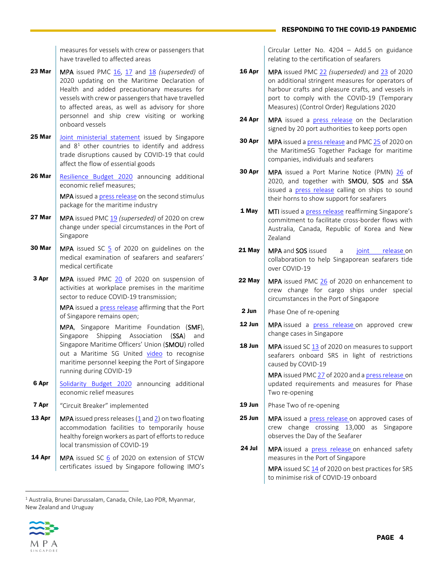### RESPONDING TO THE COVID-19 PANDEMIC

measures for vessels with crew or passengers that have travelled to affected areas

- **23 Mar** | MPA issued PMC  $16$ ,  $17$  and  $18$  *(superseded)* of 2020 updating on the Maritime Declaration of Health and added precautionary measures for vessels with crew or passengers that have travelled to affected areas, as well as advisory for shore personnel and ship crew visiting or working onboard vessels
- **25 Mar** [Joint ministerial statement](https://www.mti.gov.sg/-/media/MTI/Newsroom/Press-Releases/2020/03/Updated-Joint-Ministerial-Statement-on-supply-chain-connectivity-as-of-6-april.pdf) issued by Singapore and  $8<sup>1</sup>$  other countries to identify and address trade disruptions caused by COVID-19 that could affect the flow of essential goods
- 26 Mar | [Resilience Budget 2020](https://www.singaporebudget.gov.sg/budget_2020/resilience-budget) announcing additional economic relief measures; MPA issued [a press release](https://www.mpa.gov.sg/web/portal/home/media-centre/news-releases/mpa-news-releases/detail/3de2e951-b22b-4c60-8385-611268c0ba73) on the second stimulus

package for the maritime industry

- **27 Mar** MPA issued PM[C 19](https://www.mpa.gov.sg/web/portal/home/port-of-singapore/circulars-and-notices/port-marine-circulars/detail/e5d02eff-9b9e-4eac-becb-b20c2a5b7e6c) *(superseded)* of 2020 on crew change under special circumstances in the Port of Singapore
- **30 Mar** | MPA issued SC [5](https://www.mpa.gov.sg/web/portal/home/port-of-singapore/circulars-and-notices/shipping-circulars/detail/b8567c53-0d7f-43a2-b383-7091372a5a32) of 2020 on guidelines on the medical examination of seafarers and seafarers' medical certificate
- **3 Apr** | MPA issued PMC [20](http://www.mpa.gov.sg/web/portal/home/port-of-singapore/circulars-and-notices/detail/70326737-7f70-4149-bcfb-d64cb3916968) of 2020 on suspension of activities at workplace premises in the maritime sector to reduce COVID-19 transmission;

MPA issued [a press release](https://www.mpa.gov.sg/web/portal/home/media-centre/news-releases/mpa-news-releases/detail/292f56da-772b-42eb-9ea2-a272443aaf3c) affirming that the Port of Singapore remains open;

MPA, Singapore Maritime Foundation (SMF), Singapore Shipping Association (SSA) and Singapore Maritime Officers' Union (SMOU) rolled out a Maritime SG United [video](https://youtu.be/Mu8NQzOSSpY) to recognise maritime personnel keeping the Port of Singapore running during COVID-19

- **6 Apr** [Solidarity Budget 2020](https://www.singaporebudget.gov.sg/budget_2020/solidarity-budget) announcing additional economic relief measures
- **7 Apr** | "Circuit Breaker" implemented
- **13 Apr** | MPA issued press releases [\(1](https://www.mpa.gov.sg/web/portal/home/media-centre/news-releases/mpa-news-releases/detail/6c4510c3-0527-4dc6-b687-cc8dfc0ad001) an[d 2\)](https://www.mpa.gov.sg/web/portal/home/media-centre/news-releases/detail/021714f0-fbff-468c-b98e-120f9edd4b89) on two floating accommodation facilities to temporarily house healthy foreign workers as part of efforts to reduce local transmission of COVID-19
- **14 Apr** | MPA issued SC [6](https://www.mpa.gov.sg/web/portal/home/port-of-singapore/circulars-and-notices/shipping-circulars/detail/fad9402b-cd4e-4d7f-9236-3e59ee1b0f9b) of 2020 on extension of STCW certificates issued by Singapore following IMO's

Circular Letter No. 4204 – Add.5 on guidance relating to the certification of seafarers

- **16 Apr** | MPA issued PMC [22](https://www.mpa.gov.sg/web/portal/home/port-of-singapore/circulars-and-notices/port-marine-circulars/detail/30c4431f-706c-4466-8b69-d619cfe0916d) *(superseded)* and [23](https://www.mpa.gov.sg/web/portal/home/port-of-singapore/circulars-and-notices/port-marine-circulars/detail/39913650-4aee-4596-84d5-95b58bda0a33) of 2020 on additional stringent measures for operators of harbour crafts and pleasure crafts, and vessels in port to comply with the COVID-19 (Temporary Measures) (Control Order) Regulations 2020
- **24 Apr** | MPA issued a [press release](https://www.mpa.gov.sg/web/portal/home/media-centre/news-releases/detail/8ef344f7-89ab-4d4c-99ba-a2c73532d2b4) on the Declaration signed by 20 port authorities to keep ports open
- **30 Apr**  $\vert$  MPA issued a [press release](https://www.mpa.gov.sg/web/portal/home/media-centre/news-releases/detail/f725abc5-883c-4fbd-a778-59f1fd0120bf) and PM[C 25](https://www.mpa.gov.sg/web/portal/home/port-of-singapore/circulars-and-notices/port-marine-circulars/detail/6691fd62-a1c7-4c59-aa95-df2c2d6ec8ec) of 2020 on the MaritimeSG Together Package for maritime companies, individuals and seafarers
- **30 Apr** | MPA issued a Port Marine Notice (PMN) [26](https://www.mpa.gov.sg/web/portal/home/port-of-singapore/circulars-and-notices/detail/a4eed8ae-e42e-4f92-b58f-a2962fcfc3bb) of 2020, and together with SMOU, SOS and SSA issued a [press release](https://www.mpa.gov.sg/web/portal/home/media-centre/news-releases/detail/f5d37fcd-f6f0-44a3-a65d-2da0ed7ef649) calling on ships to sound their horns to show support for seafarers
- **1 May**  $\parallel$  MTI issued a [press release](https://www.mti.gov.sg/-/media/MTI/Newsroom/Press-Releases/2020/05/Press-Release-on-Joint-Statement-with-Korea-Australia-Canada-and-New-Zealand.pdf) reaffirming Singapore's commitment to facilitate cross-border flows with Australia, Canada, Republic of Korea and New Zealand
- **21 May** | MPA and SOS issued a [joint release](https://www.mpa.gov.sg/web/portal/home/media-centre/news-releases/detail/d5d785d5-3a48-4662-9c39-814a369961ab) on collaboration to help Singaporean seafarers tide over COVID-19
- **22 May** MPA issued PMC [26](https://www.mpa.gov.sg/web/portal/home/port-of-singapore/circulars-and-notices/port-marine-circulars/detail/628c6a74-b0a9-4dc4-9e23-fd1687601825) of 2020 on enhancement to crew change for cargo ships under special circumstances in the Port of Singapore
- **2 Jun**  $\vert$  Phase One of re-opening
- **12 Jun** | MPA issued a [press release](https://www.mpa.gov.sg/web/portal/home/media-centre/news-releases/detail/170390b7-76d4-41e0-b82d-caea45fc1cfa) on approved crew change cases in Singapore
- **18 Jun** | MPA issued SC  $\frac{13}{13}$  of 2020 on measures to support seafarers onboard SRS in light of restrictions caused by COVID-19

MPA issued PM[C 27](https://www.mpa.gov.sg/web/portal/home/port-of-singapore/circulars-and-notices/port-marine-circulars/detail/86d895bf-b0ea-4b4b-9cfa-59d75a78b530) of 2020 and a [press release](https://www.mpa.gov.sg/web/portal/home/media-centre/news-releases/detail/a66337d6-3cb2-48a2-9cc0-639bec91ec8d) on updated requirements and measures for Phase Two re-opening

- **19 Jun** | Phase Two of re-opening
- **25 Jun** | MPA issued a [press release](https://www.mpa.gov.sg/web/portal/home/media-centre/news-releases/detail/b891d1fb-5362-4eaf-ad31-bda5bb9ea8d8) on approved cases of crew change crossing 13,000 as Singapore observes the Day of the Seafarer
- **24 Jul | MPA** issued a [press release](https://www.mpa.gov.sg/web/portal/home/media-centre/news-releases/detail/a3312706-2233-4576-9864-ab1d1e85e0f0) on enhanced safety measures in the Port of Singapore

MPA issued S[C 14](https://www.mpa.gov.sg/web/portal/home/port-of-singapore/circulars-and-notices/shipping-circulars/detail/0a135493-7039-4d49-91e1-0769b3c0ba76) of 2020 on best practices for SRS to minimise risk of COVID-19 onboard



<sup>1</sup> Australia, Brunei Darussalam, Canada, Chile, Lao PDR, Myanmar, New Zealand and Uruguay